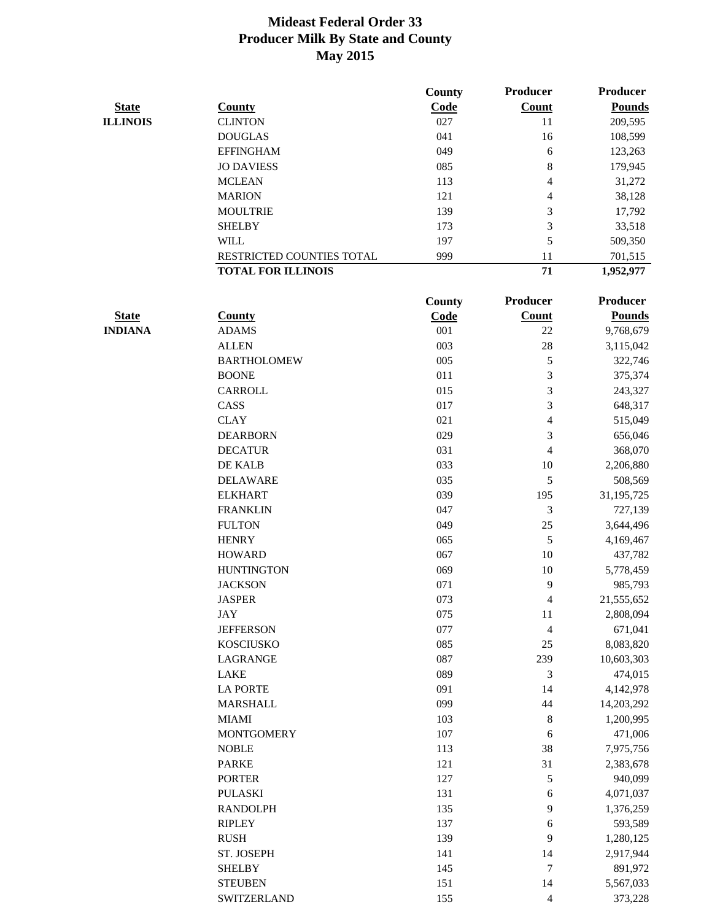|                 |                           | County | <b>Producer</b> | <b>Producer</b> |
|-----------------|---------------------------|--------|-----------------|-----------------|
| <b>State</b>    | <b>County</b>             | Code   | <b>Count</b>    | <b>Pounds</b>   |
| <b>ILLINOIS</b> | <b>CLINTON</b>            | 027    | 11              | 209,595         |
|                 | <b>DOUGLAS</b>            | 041    | 16              | 108,599         |
|                 | <b>EFFINGHAM</b>          | 049    | 6               | 123,263         |
|                 | <b>JO DAVIESS</b>         | 085    | 8               | 179,945         |
|                 | <b>MCLEAN</b>             | 113    | 4               | 31,272          |
|                 | <b>MARION</b>             | 121    | 4               | 38,128          |
|                 | <b>MOULTRIE</b>           | 139    | 3               | 17,792          |
|                 | <b>SHELBY</b>             | 173    | 3               | 33,518          |
|                 | <b>WILL</b>               | 197    | 5               | 509,350         |
|                 | RESTRICTED COUNTIES TOTAL | 999    | 11              | 701,515         |
|                 | <b>TOTAL FOR ILLINOIS</b> |        | 71              | 1,952,977       |

|                |                    | <b>County</b> | <b>Producer</b>          | <b>Producer</b> |
|----------------|--------------------|---------------|--------------------------|-----------------|
| <b>State</b>   | <b>County</b>      | Code          | <b>Count</b>             | <b>Pounds</b>   |
| <b>INDIANA</b> | <b>ADAMS</b>       | 001           | 22                       | 9,768,679       |
|                | <b>ALLEN</b>       | 003           | 28                       | 3,115,042       |
|                | <b>BARTHOLOMEW</b> | 005           | 5                        | 322,746         |
|                | <b>BOONE</b>       | 011           | 3                        | 375,374         |
|                | <b>CARROLL</b>     | 015           | 3                        | 243,327         |
|                | CASS               | 017           | 3                        | 648,317         |
|                | <b>CLAY</b>        | 021           | $\overline{4}$           | 515,049         |
|                | <b>DEARBORN</b>    | 029           | 3                        | 656,046         |
|                | <b>DECATUR</b>     | 031           | $\overline{\mathcal{L}}$ | 368,070         |
|                | DE KALB            | 033           | 10                       | 2,206,880       |
|                | <b>DELAWARE</b>    | 035           | 5                        | 508,569         |
|                | <b>ELKHART</b>     | 039           | 195                      | 31, 195, 725    |
|                | <b>FRANKLIN</b>    | 047           | 3                        | 727,139         |
|                | <b>FULTON</b>      | 049           | 25                       | 3,644,496       |
|                | <b>HENRY</b>       | 065           | 5                        | 4,169,467       |
|                | <b>HOWARD</b>      | 067           | 10                       | 437,782         |
|                | <b>HUNTINGTON</b>  | 069           | 10                       | 5,778,459       |
|                | <b>JACKSON</b>     | 071           | 9                        | 985,793         |
|                | <b>JASPER</b>      | 073           | $\overline{4}$           | 21,555,652      |
|                | <b>JAY</b>         | 075           | 11                       | 2,808,094       |
|                | <b>JEFFERSON</b>   | 077           | $\overline{\mathcal{A}}$ | 671,041         |
|                | <b>KOSCIUSKO</b>   | 085           | 25                       | 8,083,820       |
|                | <b>LAGRANGE</b>    | 087           | 239                      | 10,603,303      |
|                | <b>LAKE</b>        | 089           | 3                        | 474,015         |
|                | <b>LA PORTE</b>    | 091           | 14                       | 4,142,978       |
|                | <b>MARSHALL</b>    | 099           | 44                       | 14,203,292      |
|                | <b>MIAMI</b>       | 103           | $\,8\,$                  | 1,200,995       |
|                | <b>MONTGOMERY</b>  | 107           | 6                        | 471,006         |
|                | <b>NOBLE</b>       | 113           | 38                       | 7,975,756       |
|                | <b>PARKE</b>       | 121           | 31                       | 2,383,678       |
|                | <b>PORTER</b>      | 127           | $\mathfrak s$            | 940,099         |
|                | <b>PULASKI</b>     | 131           | 6                        | 4,071,037       |
|                | <b>RANDOLPH</b>    | 135           | 9                        | 1,376,259       |
|                | <b>RIPLEY</b>      | 137           | 6                        | 593,589         |
|                | <b>RUSH</b>        | 139           | 9                        | 1,280,125       |
|                | ST. JOSEPH         | 141           | 14                       | 2,917,944       |
|                | <b>SHELBY</b>      | 145           | 7                        | 891,972         |
|                | <b>STEUBEN</b>     | 151           | 14                       | 5,567,033       |
|                | <b>SWITZERLAND</b> | 155           | $\overline{4}$           | 373,228         |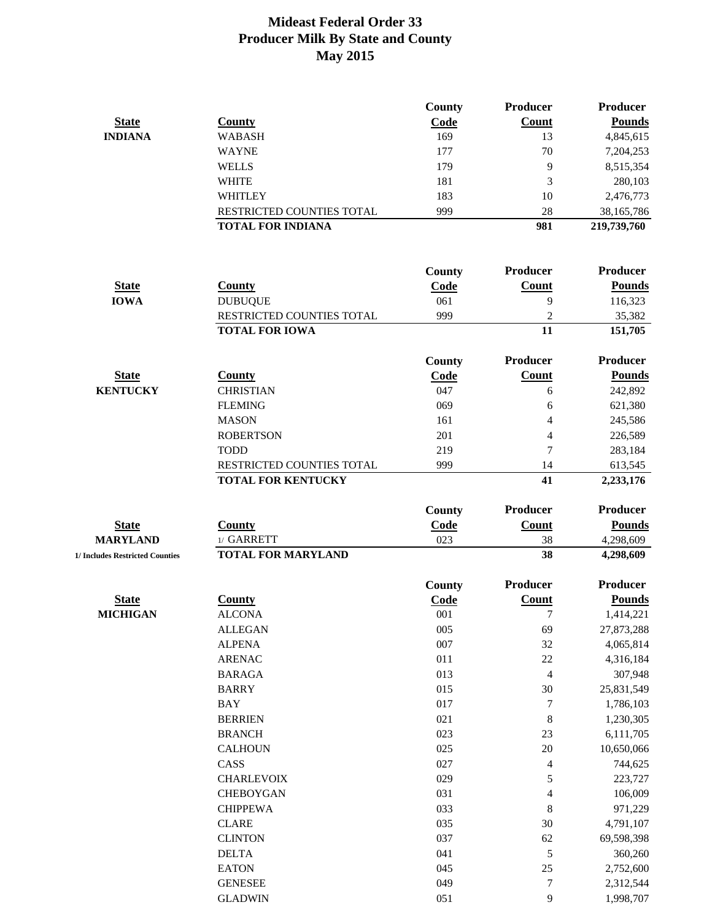|              |                           | County | <b>Producer</b> | <b>Producer</b> |
|--------------|---------------------------|--------|-----------------|-----------------|
| <b>State</b> | County                    | Code   | <b>Count</b>    | <b>Pounds</b>   |
| INDIANA      | <b>WABASH</b>             | 169    | 13              | 4,845,615       |
|              | <b>WAYNE</b>              | 177    | 70              | 7,204,253       |
|              | WELLS                     | 179    | 9               | 8,515,354       |
|              | <b>WHITE</b>              | 181    |                 | 280,103         |
|              | <b>WHITLEY</b>            | 183    | 10              | 2,476,773       |
|              | RESTRICTED COUNTIES TOTAL | 999    | 28              | 38,165,786      |
|              | <b>TOTAL FOR INDIANA</b>  |        | 981             | 219,739,760     |

|                 |                           | County                   | <b>Producer</b> | <b>Producer</b> |
|-----------------|---------------------------|--------------------------|-----------------|-----------------|
| <b>State</b>    | County                    | $\overline{\text{Code}}$ | Count           | <b>Pounds</b>   |
| <b>IOWA</b>     | <b>DUBUQUE</b>            | 061                      | 9               | 116,323         |
|                 | RESTRICTED COUNTIES TOTAL | 999                      | 2               | 35,382          |
|                 | <b>TOTAL FOR IOWA</b>     |                          | 11              | 151,705         |
|                 |                           | County                   | <b>Producer</b> | <b>Producer</b> |
| <b>State</b>    | County                    | Code                     | Count           | <b>Pounds</b>   |
| <b>KENTUCKY</b> | <b>CHRISTIAN</b>          | 047                      | 6               | 242,892         |
|                 | <b>FLEMING</b>            | 069                      | 6               | 621,380         |
|                 | <b>MASON</b>              | 161                      | 4               | 245,586         |
|                 | <b>ROBERTSON</b>          | 201                      | $\overline{4}$  | 226,589         |
|                 | <b>TODD</b>               | 219                      | $\overline{7}$  | 283,184         |
|                 | RESTRICTED COUNTIES TOTAL | 999                      | 14              | 613,545         |
|                 | <b>TOTAL FOR KENTUCKY</b> |                          | 41              | 2,233,176       |

| <b>TOTAL FOR KENTUCKY</b> |  |
|---------------------------|--|
|                           |  |

|                                 |                           | <b>County</b> | <b>Producer</b> | <b>Producer</b> |
|---------------------------------|---------------------------|---------------|-----------------|-----------------|
| <b>State</b>                    | Countv                    | <u>Code</u>   | Count           | <b>Pounds</b>   |
| <b>MARYLAND</b>                 | $1/$ GARRETT              | 023           | 38              | 4,298,609       |
| 1/ Includes Restricted Counties | <b>TOTAL FOR MARYLAND</b> |               | 38              | 4,298,609       |

|                 |                   | County | <b>Producer</b>          | <b>Producer</b> |
|-----------------|-------------------|--------|--------------------------|-----------------|
| <b>State</b>    | <b>County</b>     | Code   | <b>Count</b>             | <b>Pounds</b>   |
| <b>MICHIGAN</b> | <b>ALCONA</b>     | 001    |                          | 1,414,221       |
|                 | <b>ALLEGAN</b>    | 005    | 69                       | 27,873,288      |
|                 | <b>ALPENA</b>     | 007    | 32                       | 4,065,814       |
|                 | <b>ARENAC</b>     | 011    | 22                       | 4,316,184       |
|                 | <b>BARAGA</b>     | 013    | $\overline{4}$           | 307,948         |
|                 | <b>BARRY</b>      | 015    | 30                       | 25,831,549      |
|                 | <b>BAY</b>        | 017    | $\overline{7}$           | 1,786,103       |
|                 | <b>BERRIEN</b>    | 021    | 8                        | 1,230,305       |
|                 | <b>BRANCH</b>     | 023    | 23                       | 6,111,705       |
|                 | <b>CALHOUN</b>    | 025    | 20                       | 10,650,066      |
|                 | CASS              | 027    | $\overline{4}$           | 744,625         |
|                 | <b>CHARLEVOIX</b> | 029    | 5                        | 223,727         |
|                 | <b>CHEBOYGAN</b>  | 031    | $\overline{\mathcal{L}}$ | 106,009         |
|                 | <b>CHIPPEWA</b>   | 033    | 8                        | 971,229         |
|                 | <b>CLARE</b>      | 035    | 30                       | 4,791,107       |
|                 | <b>CLINTON</b>    | 037    | 62                       | 69,598,398      |
|                 | <b>DELTA</b>      | 041    | 5                        | 360,260         |
|                 | <b>EATON</b>      | 045    | 25                       | 2,752,600       |
|                 | <b>GENESEE</b>    | 049    | $\overline{7}$           | 2,312,544       |
|                 | <b>GLADWIN</b>    | 051    | 9                        | 1,998,707       |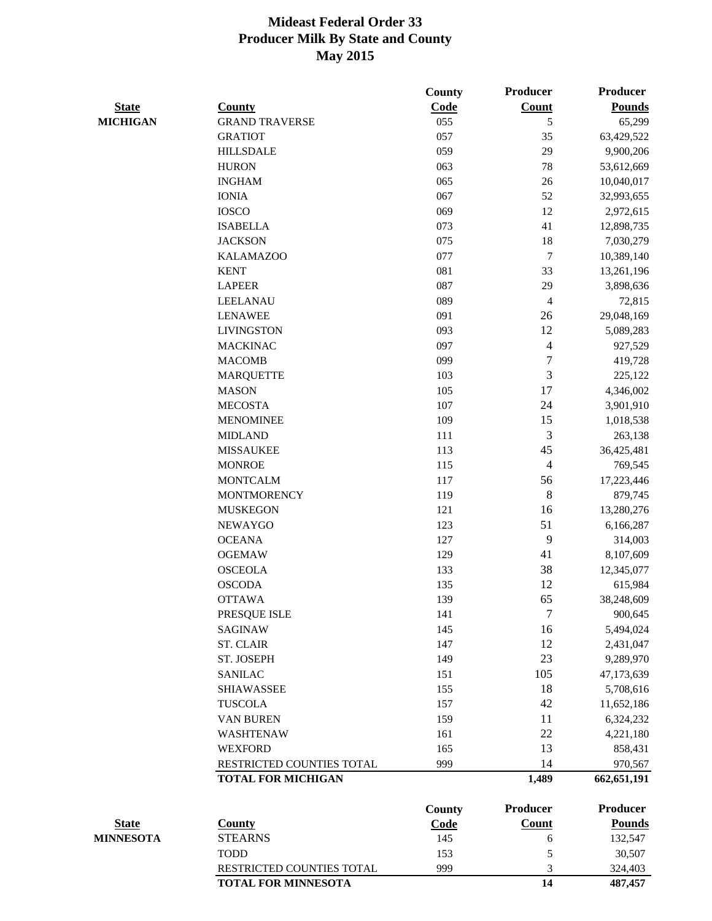|                  |                           | <b>County</b> | <b>Producer</b>          | <b>Producer</b> |
|------------------|---------------------------|---------------|--------------------------|-----------------|
| <b>State</b>     | <b>County</b>             | Code          | <b>Count</b>             | <b>Pounds</b>   |
| <b>MICHIGAN</b>  | <b>GRAND TRAVERSE</b>     | 055           | 5                        | 65,299          |
|                  | <b>GRATIOT</b>            | 057           | 35                       | 63,429,522      |
|                  | <b>HILLSDALE</b>          | 059           | 29                       | 9,900,206       |
|                  | <b>HURON</b>              | 063           | 78                       | 53,612,669      |
|                  | <b>INGHAM</b>             | 065           | 26                       | 10,040,017      |
|                  | <b>IONIA</b>              | 067           | 52                       | 32,993,655      |
|                  | <b>IOSCO</b>              | 069           | 12                       | 2,972,615       |
|                  | <b>ISABELLA</b>           | 073           | 41                       | 12,898,735      |
|                  | <b>JACKSON</b>            | 075           | 18                       | 7,030,279       |
|                  | <b>KALAMAZOO</b>          | 077           | $\boldsymbol{7}$         | 10,389,140      |
|                  | <b>KENT</b>               | 081           | 33                       | 13,261,196      |
|                  | <b>LAPEER</b>             | 087           | 29                       | 3,898,636       |
|                  | <b>LEELANAU</b>           | 089           | $\overline{\mathcal{A}}$ | 72,815          |
|                  | <b>LENAWEE</b>            | 091           | 26                       | 29,048,169      |
|                  | <b>LIVINGSTON</b>         | 093           | 12                       | 5,089,283       |
|                  | <b>MACKINAC</b>           | 097           | $\overline{4}$           | 927,529         |
|                  | <b>MACOMB</b>             | 099           | $\tau$                   | 419,728         |
|                  | <b>MARQUETTE</b>          | 103           | 3                        | 225,122         |
|                  | <b>MASON</b>              | 105           | 17                       | 4,346,002       |
|                  | <b>MECOSTA</b>            | 107           | 24                       | 3,901,910       |
|                  | <b>MENOMINEE</b>          | 109           | 15                       | 1,018,538       |
|                  | <b>MIDLAND</b>            | 111           | 3                        | 263,138         |
|                  | <b>MISSAUKEE</b>          | 113           | 45                       | 36,425,481      |
|                  | <b>MONROE</b>             | 115           | $\overline{4}$           | 769,545         |
|                  | <b>MONTCALM</b>           |               |                          |                 |
|                  |                           | 117           | 56<br>8                  | 17,223,446      |
|                  | <b>MONTMORENCY</b>        | 119           |                          | 879,745         |
|                  | <b>MUSKEGON</b>           | 121           | 16                       | 13,280,276      |
|                  | <b>NEWAYGO</b>            | 123           | 51                       | 6,166,287       |
|                  | <b>OCEANA</b>             | 127           | 9                        | 314,003         |
|                  | <b>OGEMAW</b>             | 129           | 41                       | 8,107,609       |
|                  | <b>OSCEOLA</b>            | 133           | 38                       | 12,345,077      |
|                  | <b>OSCODA</b>             | 135           | 12                       | 615,984         |
|                  | <b>OTTAWA</b>             | 139           | 65                       | 38,248,609      |
|                  | PRESQUE ISLE              | 141           | 7                        | 900,645         |
|                  | <b>SAGINAW</b>            | 145           | 16                       | 5,494,024       |
|                  | <b>ST. CLAIR</b>          | 147           | 12                       | 2,431,047       |
|                  | ST. JOSEPH                | 149           | 23                       | 9,289,970       |
|                  | <b>SANILAC</b>            | 151           | 105                      | 47,173,639      |
|                  | <b>SHIAWASSEE</b>         | 155           | 18                       | 5,708,616       |
|                  | <b>TUSCOLA</b>            | 157           | 42                       | 11,652,186      |
|                  | <b>VAN BUREN</b>          | 159           | 11                       | 6,324,232       |
|                  | <b>WASHTENAW</b>          | 161           | 22                       | 4,221,180       |
|                  | <b>WEXFORD</b>            | 165           | 13                       | 858,431         |
|                  | RESTRICTED COUNTIES TOTAL | 999           | 14                       | 970,567         |
|                  | <b>TOTAL FOR MICHIGAN</b> |               | 1,489                    | 662, 651, 191   |
|                  |                           | <b>County</b> | <b>Producer</b>          | <b>Producer</b> |
| <b>State</b>     | <b>County</b>             | Code          | <b>Count</b>             | <b>Pounds</b>   |
| <b>MINNESOTA</b> | <b>STEARNS</b>            | 145           | 6                        | 132,547         |
|                  | <b>TODD</b>               | 153           | 5                        | 30,507          |
|                  | RESTRICTED COUNTIES TOTAL | 999           | 3                        | 324,403         |
|                  | TOTAL FOR MINNESOTA       |               | 14                       | 487,457         |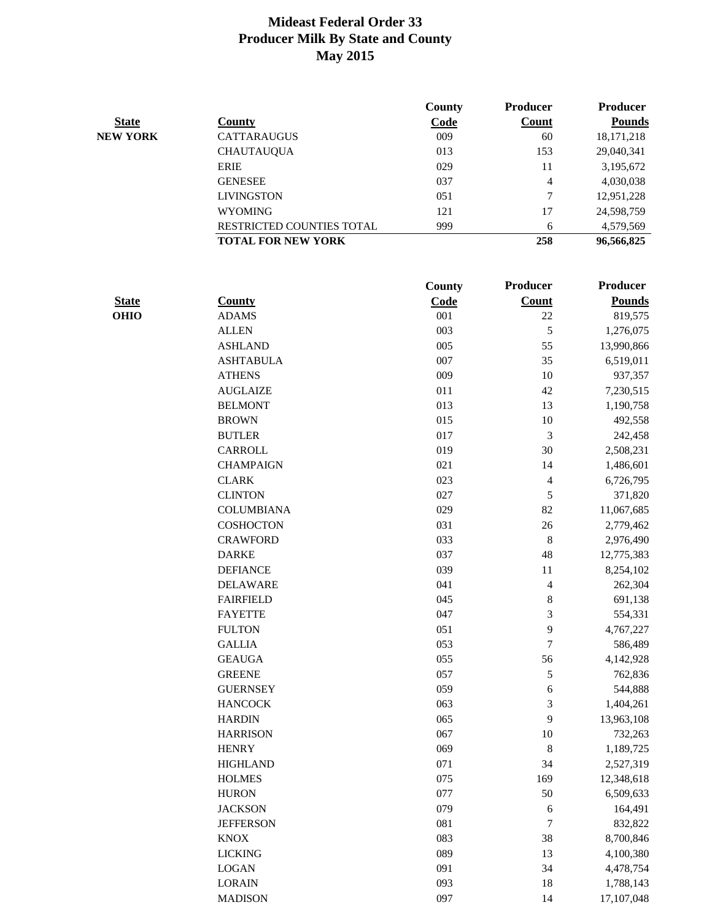|                 |                           | County      | <b>Producer</b> | <b>Producer</b> |
|-----------------|---------------------------|-------------|-----------------|-----------------|
| <b>State</b>    | <b>County</b>             | <b>Code</b> | <b>Count</b>    | <b>Pounds</b>   |
| <b>NEW YORK</b> | <b>CATTARAUGUS</b>        | 009         | 60              | 18, 171, 218    |
|                 | <b>CHAUTAUQUA</b>         | 013         | 153             | 29,040,341      |
|                 | <b>ERIE</b>               | 029         | 11              | 3,195,672       |
|                 | <b>GENESEE</b>            | 037         | 4               | 4,030,038       |
|                 | <b>LIVINGSTON</b>         | 051         | 7               | 12,951,228      |
|                 | <b>WYOMING</b>            | 121         | 17              | 24,598,759      |
|                 | RESTRICTED COUNTIES TOTAL | 999         | 6               | 4,579,569       |
|                 | <b>TOTAL FOR NEW YORK</b> |             | 258             | 96,566,825      |

|              |                   | County | <b>Producer</b>          | <b>Producer</b> |
|--------------|-------------------|--------|--------------------------|-----------------|
| <b>State</b> | <b>County</b>     | Code   | <b>Count</b>             | <b>Pounds</b>   |
| <b>OHIO</b>  | <b>ADAMS</b>      | 001    | 22                       | 819,575         |
|              | <b>ALLEN</b>      | 003    | $\sqrt{5}$               | 1,276,075       |
|              | <b>ASHLAND</b>    | 005    | 55                       | 13,990,866      |
|              | <b>ASHTABULA</b>  | 007    | 35                       | 6,519,011       |
|              | <b>ATHENS</b>     | 009    | 10                       | 937,357         |
|              | <b>AUGLAIZE</b>   | 011    | 42                       | 7,230,515       |
|              | <b>BELMONT</b>    | 013    | 13                       | 1,190,758       |
|              | <b>BROWN</b>      | 015    | 10                       | 492,558         |
|              | <b>BUTLER</b>     | 017    | 3                        | 242,458         |
|              | <b>CARROLL</b>    | 019    | 30                       | 2,508,231       |
|              | <b>CHAMPAIGN</b>  | 021    | 14                       | 1,486,601       |
|              | <b>CLARK</b>      | 023    | $\overline{\mathcal{L}}$ | 6,726,795       |
|              | <b>CLINTON</b>    | 027    | 5                        | 371,820         |
|              | <b>COLUMBIANA</b> | 029    | 82                       | 11,067,685      |
|              | <b>COSHOCTON</b>  | 031    | 26                       | 2,779,462       |
|              | <b>CRAWFORD</b>   | 033    | $\, 8$                   | 2,976,490       |
|              | <b>DARKE</b>      | 037    | 48                       | 12,775,383      |
|              | <b>DEFIANCE</b>   | 039    | 11                       | 8,254,102       |
|              | <b>DELAWARE</b>   | 041    | $\overline{\mathcal{A}}$ | 262,304         |
|              | <b>FAIRFIELD</b>  | 045    | $\, 8$                   | 691,138         |
|              | <b>FAYETTE</b>    | 047    | 3                        | 554,331         |
|              | <b>FULTON</b>     | 051    | 9                        | 4,767,227       |
|              | <b>GALLIA</b>     | 053    | $\overline{7}$           | 586,489         |
|              | <b>GEAUGA</b>     | 055    | 56                       | 4,142,928       |
|              | <b>GREENE</b>     | 057    | 5                        | 762,836         |
|              | <b>GUERNSEY</b>   | 059    | 6                        | 544,888         |
|              | <b>HANCOCK</b>    | 063    | 3                        | 1,404,261       |
|              | <b>HARDIN</b>     | 065    | 9                        | 13,963,108      |
|              | <b>HARRISON</b>   | 067    | 10                       | 732,263         |
|              | <b>HENRY</b>      | 069    | 8                        | 1,189,725       |
|              | <b>HIGHLAND</b>   | 071    | 34                       | 2,527,319       |
|              | <b>HOLMES</b>     | 075    | 169                      | 12,348,618      |
|              | <b>HURON</b>      | 077    | 50                       | 6,509,633       |
|              | <b>JACKSON</b>    | 079    | 6                        | 164,491         |
|              | <b>JEFFERSON</b>  | 081    | 7                        | 832,822         |
|              | <b>KNOX</b>       | 083    | 38                       | 8,700,846       |
|              | <b>LICKING</b>    | 089    | 13                       | 4,100,380       |
|              | <b>LOGAN</b>      | 091    | 34                       | 4,478,754       |
|              | <b>LORAIN</b>     | 093    | 18                       | 1,788,143       |
|              | <b>MADISON</b>    | 097    | 14                       | 17,107,048      |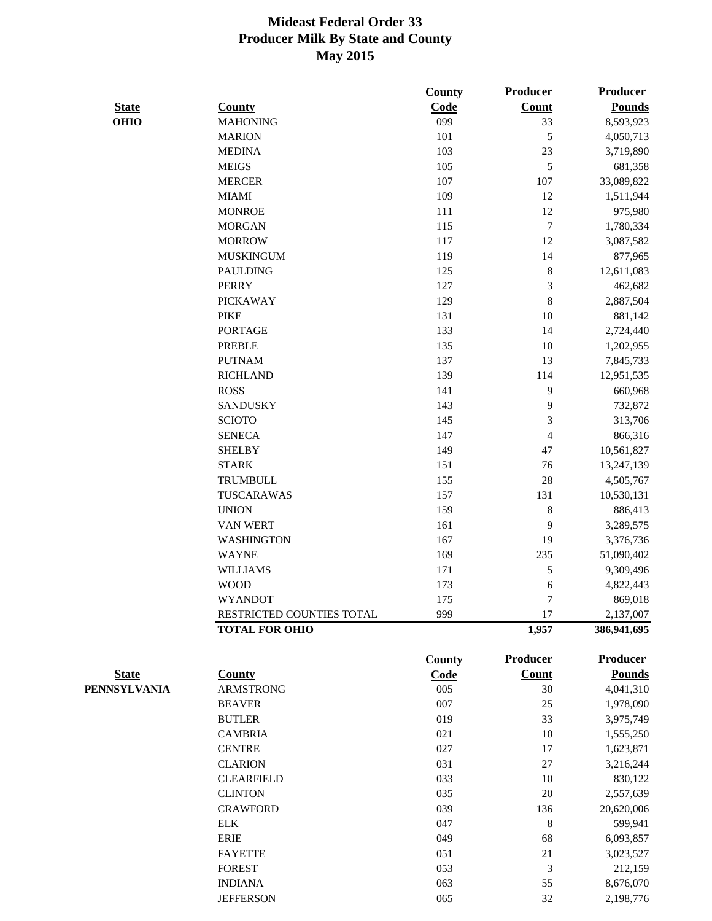|                     |                           | County      | Producer                | <b>Producer</b> |
|---------------------|---------------------------|-------------|-------------------------|-----------------|
| <b>State</b>        | <b>County</b>             | <b>Code</b> | <b>Count</b>            | <b>Pounds</b>   |
| <b>OHIO</b>         | <b>MAHONING</b>           | 099         | 33                      | 8,593,923       |
|                     | <b>MARION</b>             | 101         | 5                       | 4,050,713       |
|                     | <b>MEDINA</b>             | 103         | 23                      | 3,719,890       |
|                     | <b>MEIGS</b>              | 105         | $\mathfrak s$           | 681,358         |
|                     | <b>MERCER</b>             | 107         | 107                     | 33,089,822      |
|                     | <b>MIAMI</b>              | 109         | 12                      | 1,511,944       |
|                     | <b>MONROE</b>             | 111         | 12                      | 975,980         |
|                     | <b>MORGAN</b>             | 115         | $\tau$                  | 1,780,334       |
|                     | <b>MORROW</b>             | 117         | 12                      | 3,087,582       |
|                     | <b>MUSKINGUM</b>          | 119         | 14                      | 877,965         |
|                     | <b>PAULDING</b>           | 125         | $\,8\,$                 | 12,611,083      |
|                     | <b>PERRY</b>              | 127         | $\mathfrak{Z}$          | 462,682         |
|                     | <b>PICKAWAY</b>           | 129         | $8\,$                   | 2,887,504       |
|                     | <b>PIKE</b>               | 131         | 10                      | 881,142         |
|                     | <b>PORTAGE</b>            | 133         | 14                      | 2,724,440       |
|                     | <b>PREBLE</b>             | 135         | 10                      | 1,202,955       |
|                     | <b>PUTNAM</b>             | 137         | 13                      | 7,845,733       |
|                     | <b>RICHLAND</b>           | 139         | 114                     | 12,951,535      |
|                     | <b>ROSS</b>               | 141         | 9                       | 660,968         |
|                     | <b>SANDUSKY</b>           | 143         | 9                       | 732,872         |
|                     | <b>SCIOTO</b>             | 145         | $\mathfrak{Z}$          | 313,706         |
|                     | <b>SENECA</b>             | 147         | $\overline{\mathbf{4}}$ | 866,316         |
|                     | <b>SHELBY</b>             | 149         | 47                      | 10,561,827      |
|                     | <b>STARK</b>              | 151         | 76                      | 13,247,139      |
|                     | <b>TRUMBULL</b>           | 155         | 28                      | 4,505,767       |
|                     | TUSCARAWAS                | 157         | 131                     | 10,530,131      |
|                     | <b>UNION</b>              | 159         | $\,8\,$                 | 886,413         |
|                     | <b>VAN WERT</b>           | 161         | 9                       | 3,289,575       |
|                     | <b>WASHINGTON</b>         | 167         | 19                      | 3,376,736       |
|                     | <b>WAYNE</b>              | 169         | 235                     | 51,090,402      |
|                     | <b>WILLIAMS</b>           | 171         | 5                       | 9,309,496       |
|                     | <b>WOOD</b>               | 173         | 6                       | 4,822,443       |
|                     | <b>WYANDOT</b>            | 175         | 7                       | 869,018         |
|                     | RESTRICTED COUNTIES TOTAL | 999         | 17                      | 2,137,007       |
|                     | <b>TOTAL FOR OHIO</b>     |             | 1,957                   | 386,941,695     |
|                     |                           | County      | Producer                | <b>Producer</b> |
| <b>State</b>        | <b>County</b>             | Code        | <b>Count</b>            | <b>Pounds</b>   |
| <b>PENNSYLVANIA</b> | <b>ARMSTRONG</b>          | 005         | 30                      | 4,041,310       |
|                     | <b>BEAVER</b>             | 007         | 25                      | 1,978,090       |
|                     | <b>BUTLER</b>             | 019         | 33                      | 3,975,749       |
|                     | <b>CAMBRIA</b>            | 021         | 10                      | 1,555,250       |
|                     | <b>CENTRE</b>             | 027         | 17                      | 1,623,871       |
|                     | <b>CLARION</b>            | 031         | 27                      | 3,216,244       |
|                     | <b>CLEARFIELD</b>         | 033         | 10                      | 830,122         |
|                     | <b>CLINTON</b>            | 035         | 20                      | 2,557,639       |
|                     | <b>CRAWFORD</b>           | 039         | 136                     | 20,620,006      |
|                     | <b>ELK</b>                | 047         | 8                       | 599,941         |
|                     | <b>ERIE</b>               | 049         | 68                      | 6,093,857       |
|                     | <b>FAYETTE</b>            | 051         | 21                      | 3,023,527       |
|                     | <b>FOREST</b>             | 053         | $\mathfrak{Z}$          | 212,159         |
|                     |                           |             |                         |                 |

INDIANA 063 55 8,676,070 JEFFERSON 065 32 2,198,776